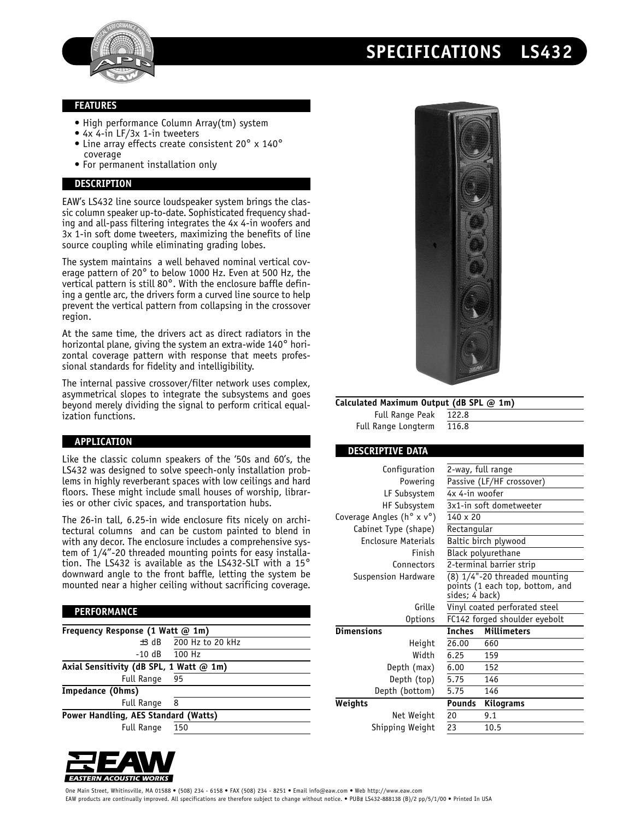



## **FEATURES**

- High performance Column Array(tm) system
- 4x 4-in LF/3x 1-in tweeters • Line array effects create consistent 20° x 140° coverage
- 
- For permanent installation only

# **DESCRIPTION**

EAW's LS432 line source loudspeaker system brings the classic column speaker up-to-date. Sophisticated frequency shading and all-pass filtering integrates the 4x 4-in woofers and 3x 1-in soft dome tweeters, maximizing the benefits of line source coupling while eliminating grading lobes.

The system maintains a well behaved nominal vertical coverage pattern of 20° to below 1000 Hz. Even at 500 Hz, the vertical pattern is still 80° . With the enclosure baffle defining a gentle arc, the drivers form a curved line source to help prevent the vertical pattern from collapsing in the crossover region.

At the same time, the drivers act as direct radiators in the horizontal plane, giving the system an extra-wide 140° horizontal coverage pattern with response that meets professional standards for fidelity and intelligibility.

The internal passive crossover/filter network uses complex, asymmetrical slopes to integrate the subsystems and goes beyond merely dividing the signal to perform critical equalization functions.

### **APPLICATION**

Like the classic column speakers of the '50s and 60's, the LS432 was designed to solve speech-only installation problems in highly reverberant spaces with low ceilings and hard floors. These might include small houses of worship, libraries or other civic spaces, and transportation hubs.

The 26-in tall, 6.25-in wide enclosure fits nicely on architectural columns and can be custom painted to blend in with any decor. The enclosure includes a comprehensive system of 1/4"-20 threaded mounting points for easy installation. The LS432 is available as the LS432-SLT with a 15° downward angle to the front baffle, letting the system be mounted near a higher ceiling without sacrificing coverage.

### **PERFORMANCE**

| Frequency Response (1 Watt @ 1m)        |                   |  |
|-----------------------------------------|-------------------|--|
| $±3$ dB                                 | 200 Hz to 20 kHz  |  |
|                                         | $-10$ dB $100$ Hz |  |
| Axial Sensitivity (dB SPL, 1 Watt @ 1m) |                   |  |
| <b>Full Range</b>                       | 95                |  |
| Impedance (Ohms)                        |                   |  |
| <b>Full Range</b>                       | 8                 |  |
| Power Handling, AES Standard (Watts)    |                   |  |
| <b>Full Range</b>                       | 150               |  |





**Calculated Maximum Output (dB SPL @ 1m)**

Full Range Peak 122.8 Full Range Longterm 116.8

### **DESCRIPTIVE DATA**

| Configuration                                    | 2-way, full range                                                                    |                    |  |
|--------------------------------------------------|--------------------------------------------------------------------------------------|--------------------|--|
| Powering                                         | Passive (LF/HF crossover)                                                            |                    |  |
| LF Subsystem                                     | 4x 4-in woofer                                                                       |                    |  |
| <b>HF Subsystem</b>                              | 3x1-in soft dometweeter                                                              |                    |  |
| Coverage Angles ( $h^{\circ} \times v^{\circ}$ ) | $140 \times 20$                                                                      |                    |  |
| Cabinet Type (shape)                             | Rectangular                                                                          |                    |  |
| <b>Enclosure Materials</b>                       | Baltic birch plywood                                                                 |                    |  |
| Finish                                           | Black polyurethane                                                                   |                    |  |
| Connectors                                       | 2-terminal barrier strip                                                             |                    |  |
| Suspension Hardware                              | $(8)$ 1/4"-20 threaded mounting<br>points (1 each top, bottom, and<br>sides; 4 back) |                    |  |
| Grille                                           | Vinyl coated perforated steel                                                        |                    |  |
| <b>Options</b>                                   | FC142 forged shoulder eyebolt                                                        |                    |  |
| <b>Dimensions</b>                                | <b>Inches</b>                                                                        | <b>Millimeters</b> |  |
| Height                                           | 26.00                                                                                | 660                |  |
| Width                                            | 6.25                                                                                 | 159                |  |
| Depth (max)                                      | 6.00                                                                                 | 152                |  |
| Depth (top)                                      | 5.75                                                                                 | 146                |  |
| Depth (bottom)                                   | 5.75                                                                                 | 146                |  |
| Weights                                          | <b>Pounds</b>                                                                        | <b>Kilograms</b>   |  |
| Net Weight                                       | 20                                                                                   | 9.1                |  |
| Shipping Weight                                  | 23                                                                                   | 10.5               |  |